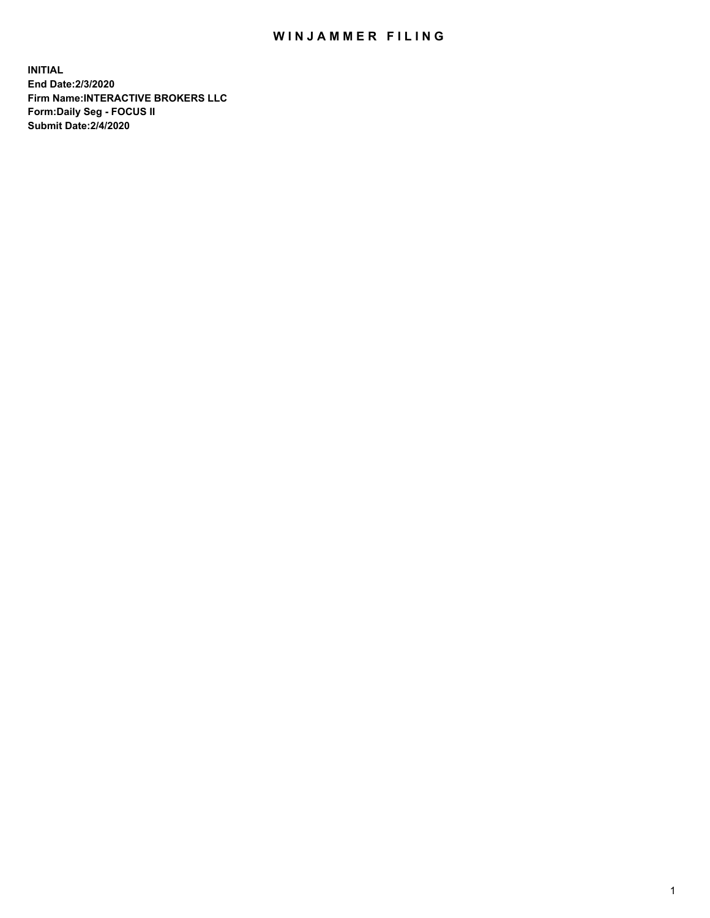## WIN JAMMER FILING

**INITIAL End Date:2/3/2020 Firm Name:INTERACTIVE BROKERS LLC Form:Daily Seg - FOCUS II Submit Date:2/4/2020**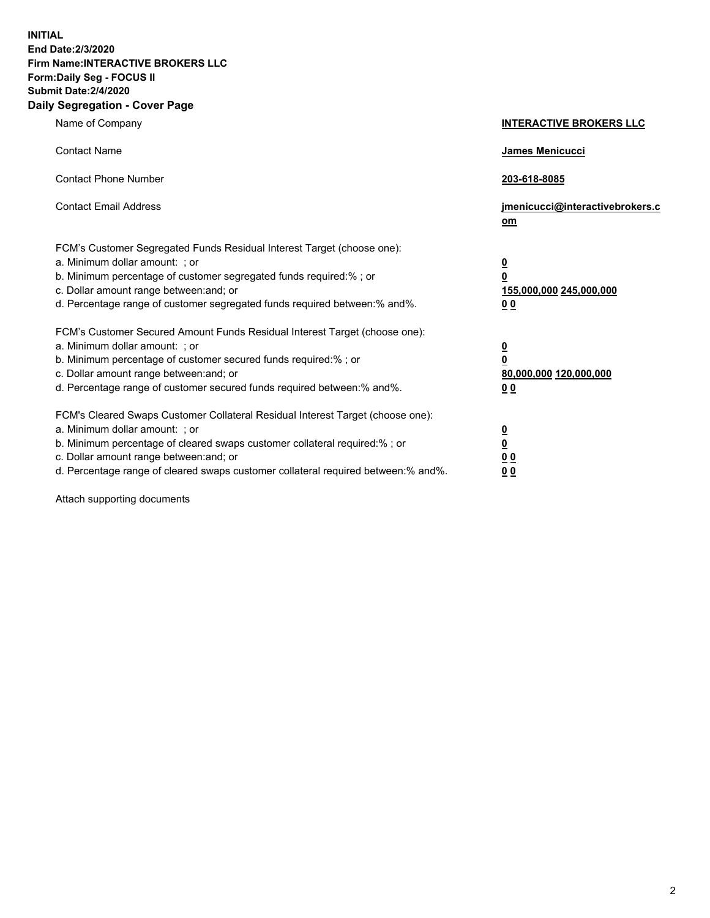**INITIAL End Date:2/3/2020 Firm Name:INTERACTIVE BROKERS LLC Form:Daily Seg - FOCUS II Submit Date:2/4/2020 Daily Segregation - Cover Page**

| Name of Company                                                                                                                                                                                                                                                                                                                | <b>INTERACTIVE BROKERS LLC</b>                             |
|--------------------------------------------------------------------------------------------------------------------------------------------------------------------------------------------------------------------------------------------------------------------------------------------------------------------------------|------------------------------------------------------------|
| <b>Contact Name</b>                                                                                                                                                                                                                                                                                                            | <b>James Menicucci</b>                                     |
| <b>Contact Phone Number</b>                                                                                                                                                                                                                                                                                                    | 203-618-8085                                               |
| <b>Contact Email Address</b>                                                                                                                                                                                                                                                                                                   | jmenicucci@interactivebrokers.c<br>$om$                    |
| FCM's Customer Segregated Funds Residual Interest Target (choose one):<br>a. Minimum dollar amount: ; or<br>b. Minimum percentage of customer segregated funds required:% ; or<br>c. Dollar amount range between: and; or<br>d. Percentage range of customer segregated funds required between:% and%.                         | $\frac{0}{0}$<br>155,000,000 245,000,000<br>0 <sub>0</sub> |
| FCM's Customer Secured Amount Funds Residual Interest Target (choose one):<br>a. Minimum dollar amount: ; or<br>b. Minimum percentage of customer secured funds required:% ; or<br>c. Dollar amount range between: and; or<br>d. Percentage range of customer secured funds required between:% and%.                           | $\frac{0}{0}$<br>80,000,000 120,000,000<br>0 <sub>0</sub>  |
| FCM's Cleared Swaps Customer Collateral Residual Interest Target (choose one):<br>a. Minimum dollar amount: ; or<br>b. Minimum percentage of cleared swaps customer collateral required:% ; or<br>c. Dollar amount range between: and; or<br>d. Percentage range of cleared swaps customer collateral required between:% and%. | $\frac{0}{0}$<br>0 <sub>0</sub><br>0 <sub>0</sub>          |

Attach supporting documents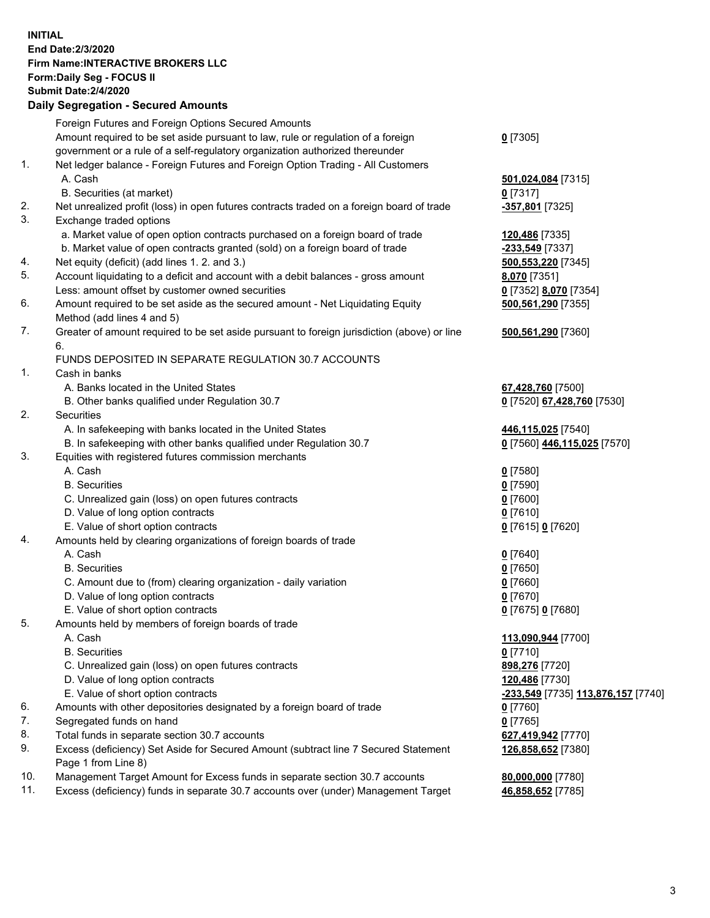## **INITIAL End Date:2/3/2020 Firm Name:INTERACTIVE BROKERS LLC Form:Daily Seg - FOCUS II Submit Date:2/4/2020 Daily Segregation - Secured Amounts**

|     | 00g.0gaaon 000ar0a7an0ana                                                                                  |                                                          |
|-----|------------------------------------------------------------------------------------------------------------|----------------------------------------------------------|
|     | Foreign Futures and Foreign Options Secured Amounts                                                        |                                                          |
|     | Amount required to be set aside pursuant to law, rule or regulation of a foreign                           | $0$ [7305]                                               |
|     | government or a rule of a self-regulatory organization authorized thereunder                               |                                                          |
| 1.  | Net ledger balance - Foreign Futures and Foreign Option Trading - All Customers                            |                                                          |
|     | A. Cash                                                                                                    | 501,024,084 [7315]                                       |
|     | B. Securities (at market)                                                                                  | $0$ [7317]                                               |
| 2.  | Net unrealized profit (loss) in open futures contracts traded on a foreign board of trade                  | <u>-357,801</u> [7325]                                   |
| 3.  | Exchange traded options                                                                                    |                                                          |
|     | a. Market value of open option contracts purchased on a foreign board of trade                             | 120,486 [7335]                                           |
|     | b. Market value of open contracts granted (sold) on a foreign board of trade                               | -233,549 [7337]                                          |
| 4.  | Net equity (deficit) (add lines 1. 2. and 3.)                                                              | 500,553,220 [7345]                                       |
| 5.  | Account liquidating to a deficit and account with a debit balances - gross amount                          | <b>8,070</b> [7351]                                      |
|     | Less: amount offset by customer owned securities                                                           | 0 [7352] 8,070 [7354]                                    |
| 6.  | Amount required to be set aside as the secured amount - Net Liquidating Equity                             | 500,561,290 [7355]                                       |
|     | Method (add lines 4 and 5)                                                                                 |                                                          |
| 7.  | Greater of amount required to be set aside pursuant to foreign jurisdiction (above) or line<br>6.          | 500,561,290 [7360]                                       |
|     | FUNDS DEPOSITED IN SEPARATE REGULATION 30.7 ACCOUNTS                                                       |                                                          |
| 1.  | Cash in banks                                                                                              |                                                          |
|     | A. Banks located in the United States                                                                      | 67,428,760 [7500]                                        |
|     | B. Other banks qualified under Regulation 30.7                                                             | 0 [7520] 67,428,760 [7530]                               |
| 2.  | Securities                                                                                                 |                                                          |
|     | A. In safekeeping with banks located in the United States                                                  | 446,115,025 [7540]                                       |
|     | B. In safekeeping with other banks qualified under Regulation 30.7                                         | 0 [7560] 446,115,025 [7570]                              |
| 3.  | Equities with registered futures commission merchants                                                      |                                                          |
|     | A. Cash                                                                                                    | $0$ [7580]                                               |
|     | <b>B.</b> Securities                                                                                       | $0$ [7590]                                               |
|     | C. Unrealized gain (loss) on open futures contracts                                                        | $0$ [7600]                                               |
|     | D. Value of long option contracts                                                                          | $0$ [7610]                                               |
|     | E. Value of short option contracts                                                                         | 0 [7615] 0 [7620]                                        |
| 4.  | Amounts held by clearing organizations of foreign boards of trade                                          |                                                          |
|     | A. Cash                                                                                                    | $0$ [7640]                                               |
|     | <b>B.</b> Securities                                                                                       | $0$ [7650]                                               |
|     | C. Amount due to (from) clearing organization - daily variation                                            | $0$ [7660]                                               |
|     | D. Value of long option contracts                                                                          | $0$ [7670]                                               |
|     | E. Value of short option contracts                                                                         | 0 [7675] 0 [7680]                                        |
| 5.  | Amounts held by members of foreign boards of trade                                                         |                                                          |
|     | A. Cash                                                                                                    | 113,090,944 [7700]                                       |
|     | <b>B.</b> Securities                                                                                       | $0$ [7710]                                               |
|     | C. Unrealized gain (loss) on open futures contracts                                                        | 898,276 [7720]                                           |
|     | D. Value of long option contracts                                                                          | 120,486 [7730]                                           |
|     | E. Value of short option contracts                                                                         | <u>-<b>233,549</b> [</u> 7735] <u>113,876,157</u> [7740] |
| 6.  | Amounts with other depositories designated by a foreign board of trade                                     | 0 [7760]                                                 |
| 7.  | Segregated funds on hand                                                                                   | $0$ [7765]                                               |
| 8.  | Total funds in separate section 30.7 accounts                                                              | 627,419,942 [7770]                                       |
| 9.  | Excess (deficiency) Set Aside for Secured Amount (subtract line 7 Secured Statement<br>Page 1 from Line 8) | 126,858,652 [7380]                                       |
| 10. | Management Target Amount for Excess funds in separate section 30.7 accounts                                | 80,000,000 [7780]                                        |
| 11. | Excess (deficiency) funds in separate 30.7 accounts over (under) Management Target                         | 46,858,652 [7785]                                        |
|     |                                                                                                            |                                                          |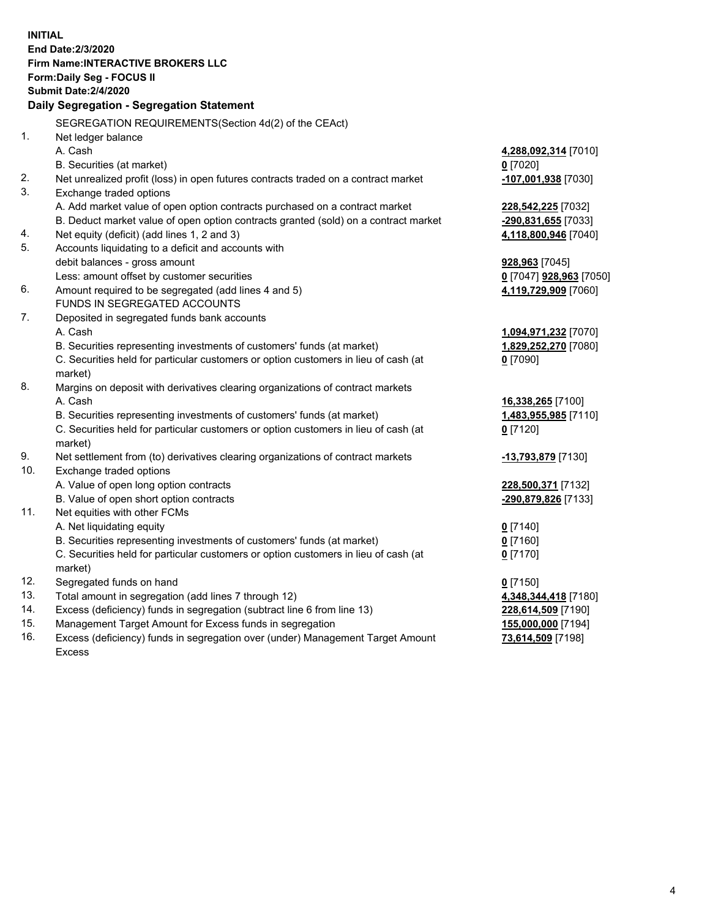**INITIAL End Date:2/3/2020 Firm Name:INTERACTIVE BROKERS LLC Form:Daily Seg - FOCUS II Submit Date:2/4/2020 Daily Segregation - Segregation Statement** SEGREGATION REQUIREMENTS(Section 4d(2) of the CEAct) 1. Net ledger balance A. Cash **4,288,092,314** [7010] B. Securities (at market) **0** [7020] 2. Net unrealized profit (loss) in open futures contracts traded on a contract market **-107,001,938** [7030] 3. Exchange traded options A. Add market value of open option contracts purchased on a contract market **228,542,225** [7032] B. Deduct market value of open option contracts granted (sold) on a contract market **-290,831,655** [7033] 4. Net equity (deficit) (add lines 1, 2 and 3) **4,118,800,946** [7040] 5. Accounts liquidating to a deficit and accounts with debit balances - gross amount **928,963** [7045] Less: amount offset by customer securities **0** [7047] **928,963** [7050] 6. Amount required to be segregated (add lines 4 and 5) **4,119,729,909** [7060] FUNDS IN SEGREGATED ACCOUNTS 7. Deposited in segregated funds bank accounts A. Cash **1,094,971,232** [7070] B. Securities representing investments of customers' funds (at market) **1,829,252,270** [7080] C. Securities held for particular customers or option customers in lieu of cash (at market) **0** [7090] 8. Margins on deposit with derivatives clearing organizations of contract markets A. Cash **16,338,265** [7100] B. Securities representing investments of customers' funds (at market) **1,483,955,985** [7110] C. Securities held for particular customers or option customers in lieu of cash (at market) **0** [7120] 9. Net settlement from (to) derivatives clearing organizations of contract markets **-13,793,879** [7130] 10. Exchange traded options A. Value of open long option contracts **228,500,371** [7132] B. Value of open short option contracts **-290,879,826** [7133] 11. Net equities with other FCMs A. Net liquidating equity **0** [7140] B. Securities representing investments of customers' funds (at market) **0** [7160] C. Securities held for particular customers or option customers in lieu of cash (at market) **0** [7170] 12. Segregated funds on hand **0** [7150] 13. Total amount in segregation (add lines 7 through 12) **4,348,344,418** [7180] 14. Excess (deficiency) funds in segregation (subtract line 6 from line 13) **228,614,509** [7190] 15. Management Target Amount for Excess funds in segregation **155,000,000** [7194] 16. Excess (deficiency) funds in segregation over (under) Management Target Amount **73,614,509** [7198]

Excess